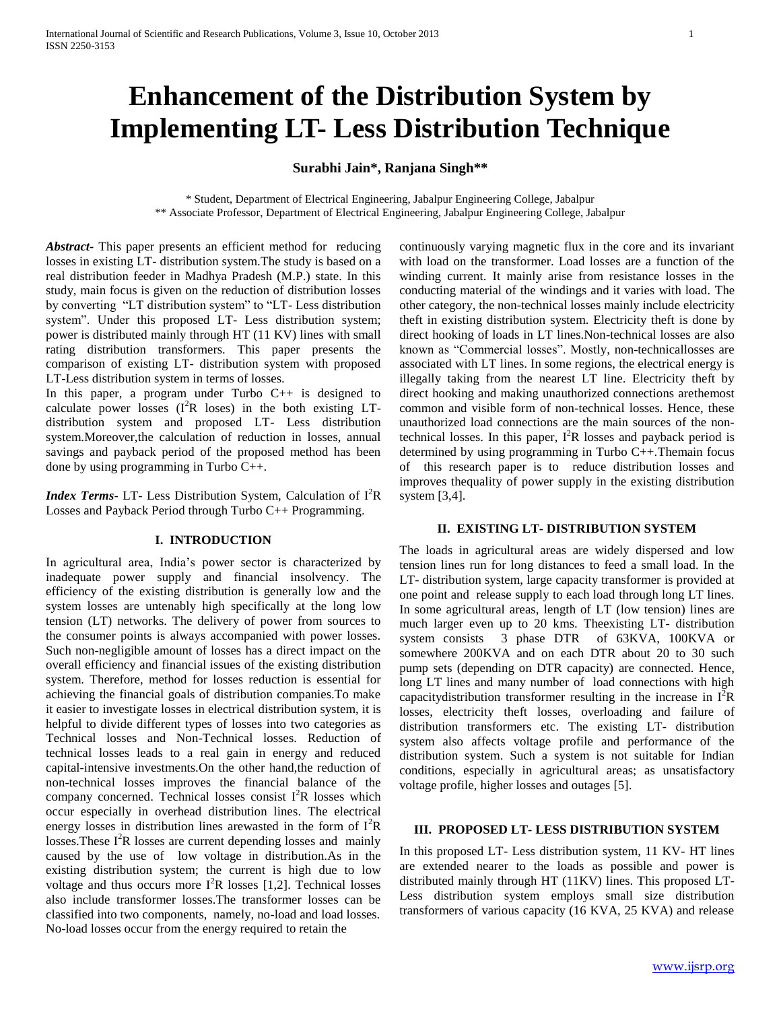# **Enhancement of the Distribution System by Implementing LT- Less Distribution Technique**

## **Surabhi Jain\*, Ranjana Singh\*\***

\* Student, Department of Electrical Engineering, Jabalpur Engineering College, Jabalpur \*\* Associate Professor, Department of Electrical Engineering, Jabalpur Engineering College, Jabalpur

*Abstract***-** This paper presents an efficient method for reducing losses in existing LT- distribution system.The study is based on a real distribution feeder in Madhya Pradesh (M.P.) state. In this study, main focus is given on the reduction of distribution losses by converting "LT distribution system" to "LT- Less distribution system". Under this proposed LT- Less distribution system; power is distributed mainly through HT (11 KV) lines with small rating distribution transformers. This paper presents the comparison of existing LT- distribution system with proposed LT-Less distribution system in terms of losses.

In this paper, a program under Turbo  $C_{++}$  is designed to calculate power losses  $(I^2R$  loses) in the both existing LTdistribution system and proposed LT- Less distribution system.Moreover,the calculation of reduction in losses, annual savings and payback period of the proposed method has been done by using programming in Turbo C++.

*Index Terms*- LT- Less Distribution System, Calculation of I<sup>2</sup>R Losses and Payback Period through Turbo C++ Programming.

#### **I. INTRODUCTION**

In agricultural area, India's power sector is characterized by inadequate power supply and financial insolvency. The efficiency of the existing distribution is generally low and the system losses are untenably high specifically at the long low tension (LT) networks. The delivery of power from sources to the consumer points is always accompanied with power losses. Such non-negligible amount of losses has a direct impact on the overall efficiency and financial issues of the existing distribution system. Therefore, method for losses reduction is essential for achieving the financial goals of distribution companies.To make it easier to investigate losses in electrical distribution system, it is helpful to divide different types of losses into two categories as Technical losses and Non-Technical losses. Reduction of technical losses leads to a real gain in energy and reduced capital-intensive investments.On the other hand,the reduction of non-technical losses improves the financial balance of the company concerned. Technical losses consist I <sup>2</sup>R losses which occur especially in overhead distribution lines. The electrical energy losses in distribution lines arewasted in the form of  $I^2R$ losses. These  $I^2R$  losses are current depending losses and mainly caused by the use of low voltage in distribution.As in the existing distribution system; the current is high due to low voltage and thus occurs more  $I^{2}R$  losses [1,2]. Technical losses also include transformer losses.The transformer losses can be classified into two components, namely, no-load and load losses. No-load losses occur from the energy required to retain the

continuously varying magnetic flux in the core and its invariant with load on the transformer. Load losses are a function of the winding current. It mainly arise from resistance losses in the conducting material of the windings and it varies with load. The other category, the non-technical losses mainly include electricity theft in existing distribution system. Electricity theft is done by direct hooking of loads in LT lines.Non-technical losses are also known as "Commercial losses". Mostly, non-technicallosses are associated with LT lines. In some regions, the electrical energy is illegally taking from the nearest LT line. Electricity theft by direct hooking and making unauthorized connections arethemost common and visible form of non-technical losses. Hence, these unauthorized load connections are the main sources of the nontechnical losses. In this paper,  $I^2R$  losses and payback period is determined by using programming in Turbo C++.Themain focus of this research paper is to reduce distribution losses and improves thequality of power supply in the existing distribution system [3,4].

#### **II. EXISTING LT- DISTRIBUTION SYSTEM**

The loads in agricultural areas are widely dispersed and low tension lines run for long distances to feed a small load. In the LT- distribution system, large capacity transformer is provided at one point and release supply to each load through long LT lines. In some agricultural areas, length of LT (low tension) lines are much larger even up to 20 kms. Theexisting LT- distribution system consists 3 phase DTR of 63KVA, 100KVA or somewhere 200KVA and on each DTR about 20 to 30 such pump sets (depending on DTR capacity) are connected. Hence, long LT lines and many number of load connections with high capacity distribution transformer resulting in the increase in  $I^2R$ losses, electricity theft losses, overloading and failure of distribution transformers etc. The existing LT- distribution system also affects voltage profile and performance of the distribution system. Such a system is not suitable for Indian conditions, especially in agricultural areas; as unsatisfactory voltage profile, higher losses and outages [5].

#### **III. PROPOSED LT- LESS DISTRIBUTION SYSTEM**

In this proposed LT- Less distribution system, 11 KV- HT lines are extended nearer to the loads as possible and power is distributed mainly through HT (11KV) lines. This proposed LT-Less distribution system employs small size distribution transformers of various capacity (16 KVA, 25 KVA) and release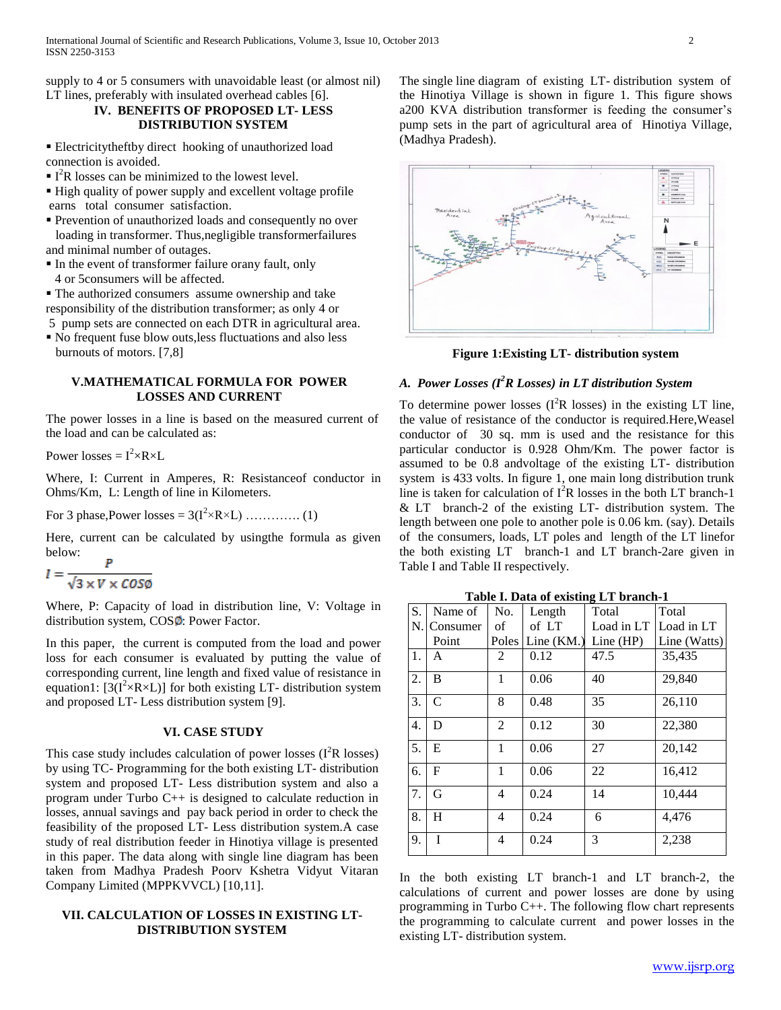supply to 4 or 5 consumers with unavoidable least (or almost nil) LT lines, preferably with insulated overhead cables [6].

#### **IV. BENEFITS OF PROPOSED LT- LESS DISTRIBUTION SYSTEM**

 Electricitytheftby direct hooking of unauthorized load connection is avoided.

- $I^2R$  losses can be minimized to the lowest level.
- High quality of power supply and excellent voltage profile earns total consumer satisfaction.
- Prevention of unauthorized loads and consequently no over loading in transformer. Thus,negligible transformerfailures and minimal number of outages.
- In the event of transformer failure orany fault, only 4 or 5consumers will be affected.
- The authorized consumers assume ownership and take responsibility of the distribution transformer; as only 4 or
- 5 pump sets are connected on each DTR in agricultural area.
- No frequent fuse blow outs,less fluctuations and also less burnouts of motors. [7,8]

#### **V.MATHEMATICAL FORMULA FOR POWER LOSSES AND CURRENT**

The power losses in a line is based on the measured current of the load and can be calculated as:

Power losses =  $I^2 \times R \times L$ 

Where, I: Current in Amperes, R: Resistanceof conductor in Ohms/Km, L: Length of line in Kilometers.

For 3 phase,Power losses = 3(I<sup>2</sup> ×R×L) …………. (1)

Here, current can be calculated by usingthe formula as given below:

$$
I = \frac{r}{\sqrt{3} \times V \times \cos \phi}
$$

Where, P: Capacity of load in distribution line, V: Voltage in distribution system,  $COS\Phi$ : Power Factor.

In this paper, the current is computed from the load and power loss for each consumer is evaluated by putting the value of corresponding current, line length and fixed value of resistance in equation1:  $[3(I^2 \times R \times L)]$  for both existing LT- distribution system and proposed LT- Less distribution system [9].

#### **VI. CASE STUDY**

This case study includes calculation of power losses  $(I<sup>2</sup>R$  losses) by using TC- Programming for the both existing LT- distribution system and proposed LT- Less distribution system and also a program under Turbo C++ is designed to calculate reduction in losses, annual savings and pay back period in order to check the feasibility of the proposed LT- Less distribution system.A case study of real distribution feeder in Hinotiya village is presented in this paper. The data along with single line diagram has been taken from Madhya Pradesh Poorv Kshetra Vidyut Vitaran Company Limited (MPPKVVCL) [10,11].

#### **VII. CALCULATION OF LOSSES IN EXISTING LT-DISTRIBUTION SYSTEM**

The single line diagram of existing LT- distribution system of the Hinotiya Village is shown in figure 1. This figure shows a200 KVA distribution transformer is feeding the consumer's pump sets in the part of agricultural area of Hinotiya Village, (Madhya Pradesh).



**Figure 1:Existing LT- distribution system**

## *A. Power Losses (I <sup>2</sup>R Losses) in LT distribution System*

To determine power losses  $(I^2R$  losses) in the existing LT line, the value of resistance of the conductor is required.Here,Weasel conductor of 30 sq. mm is used and the resistance for this particular conductor is 0.928 Ohm/Km. The power factor is assumed to be 0.8 andvoltage of the existing LT- distribution system is 433 volts. In figure 1, one main long distribution trunk line is taken for calculation of  $I^2R$  losses in the both LT branch-1 & LT branch-2 of the existing LT- distribution system. The length between one pole to another pole is 0.06 km. (say). Details of the consumers, loads, LT poles and length of the LT linefor the both existing LT branch-1 and LT branch-2are given in Table I and Table II respectively.

**Table I. Data of existing LT branch-1**

| S. | Name of      | No.          | Length       | Total       | Total        |
|----|--------------|--------------|--------------|-------------|--------------|
| N. | Consumer     | οf           | of LT        | Load in LT  | Load in LT   |
|    | Point        | Poles        | Line $(KM.)$ | Line $(HP)$ | Line (Watts) |
| 1. | A            | 2            | 0.12         | 47.5        | 35,435       |
| 2. | B            | 1            | 0.06         | 40          | 29,840       |
| 3. | C            | 8            | 0.48         | 35          | 26,110       |
| 4. | D            | 2            | 0.12         | 30          | 22,380       |
| 5. | E            | $\mathbf{1}$ | 0.06         | 27          | 20,142       |
| 6. | $\mathbf{F}$ | 1            | 0.06         | 22          | 16,412       |
| 7. | G            | 4            | 0.24         | 14          | 10,444       |
| 8. | H            | 4            | 0.24         | 6           | 4,476        |
| 9. | T            | 4            | 0.24         | 3           | 2,238        |

In the both existing LT branch-1 and LT branch-2, the calculations of current and power losses are done by using programming in Turbo C++. The following flow chart represents the programming to calculate current and power losses in the existing LT- distribution system.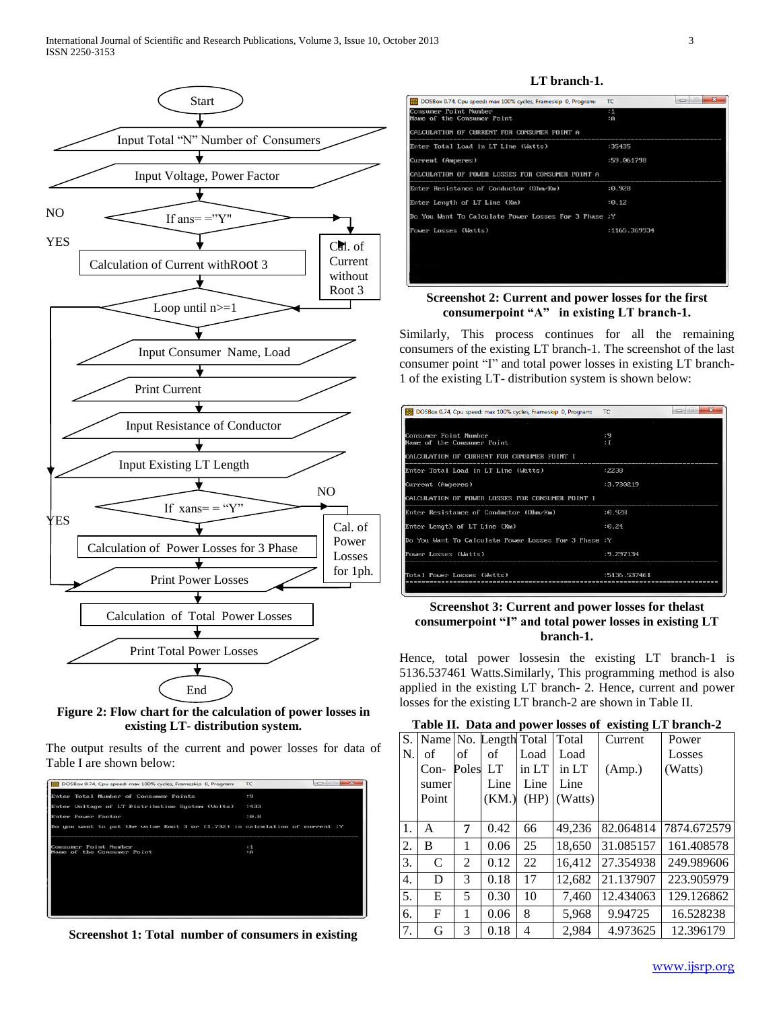

**Figure 2: Flow chart for the calculation of power losses in existing LT- distribution system.**

The output results of the current and power losses for data of Table I are shown below:



**Screenshot 1: Total number of consumers in existing**

#### **LT branch-1.**

| <b>23 DOSBox 0.74, Cpu speed: max 100% cycles, Frameskip 0, Program:</b> | المسادر<br>TC | ж |
|--------------------------------------------------------------------------|---------------|---|
| Consumer Point Number                                                    | : 1           |   |
| Name of the Consumer Point                                               | ÷Ĥ.           |   |
| CALCULATION OF CURRENT FOR CONSUMER POINT A                              |               |   |
| Enter Total Load in LT Line (Watts)                                      | :35435        |   |
| Current (Amperes)                                                        | :59.061798    |   |
| CALCULATION OF POWER LOSSES FOR CONSUMER POINT A                         |               |   |
| Enter Resistance of Conductor (Ohm∕Km)                                   | : 0.928       |   |
| Enter Length of LT Line (Km)                                             | :0.12         |   |
| Do You Want To Calculate Power Losses For 3 Phase ;Y                     |               |   |
| Power Losses (Watts)                                                     | :1165.369934  |   |
|                                                                          |               |   |
|                                                                          |               |   |
|                                                                          |               |   |

#### **Screenshot 2: Current and power losses for the first consumerpoint "A" in existing LT branch-1.**

Similarly, This process continues for all the remaining consumers of the existing LT branch-1. The screenshot of the last consumer point "I" and total power losses in existing LT branch-1 of the existing LT- distribution system is shown below:

| DOSBox 0.74, Cpu speed: max 100% cycles, Frameskip 0, Program: | TC           |
|----------------------------------------------------------------|--------------|
|                                                                |              |
| Consumer Point Number<br>Name of the Consumer Point            | : 9<br>: I   |
| CALCHLATION OF CHRRENT FOR CONSUMER POINT I                    |              |
| Enter Total Load in LT Line (Watts)                            | :2238        |
| Current (Amperes)                                              | :3.730219    |
| CALCULATION OF POWER LOSSES FOR CONSUMER POINT I               |              |
| Enter Resistance of Conductor (Ohm∕Km)                         | : 0.928      |
| Enter Length of LT Line (Km)                                   | : 0.24       |
| Do You Want To Calculate Power Losses For 3 Phase ;Y           |              |
| Power Losses (Watts)                                           | :9.297134    |
| Total Power Losses (Watts)                                     | :5136.537461 |

### **Screenshot 3: Current and power losses for thelast consumerpoint "I" and total power losses in existing LT branch-1.**

Hence, total power lossesin the existing LT branch-1 is 5136.537461 Watts.Similarly, This programming method is also applied in the existing LT branch- 2. Hence, current and power losses for the existing LT branch-2 are shown in Table II.

**Table II. Data and power losses of existing LT branch-2**

| S.               |        |                | Name No. Length Total |       | Total                     | Current   | Power       |
|------------------|--------|----------------|-----------------------|-------|---------------------------|-----------|-------------|
| N.               | of     | of             | of                    | Load  | Load                      |           | Losses      |
|                  | $Con-$ | Poles          | LT                    | in LT | $\overline{\text{in LT}}$ | (Amp.)    | (Watts)     |
|                  | sumer  |                | Line                  | Line  | Line                      |           |             |
|                  | Point  |                | (KM.)                 | (HP)  | (Watts)                   |           |             |
|                  |        |                |                       |       |                           |           |             |
| 1.               | A      | 7              | 0.42                  | 66    | 49,236                    | 82.064814 | 7874.672579 |
| 2.               | B      | 1              | 0.06                  | 25    | 18,650                    | 31.085157 | 161.408578  |
| 3.               | C      | $\overline{c}$ | 0.12                  | 22    | 16,412                    | 27.354938 | 249.989606  |
| $\overline{4}$ . | D      | 3              | 0.18                  | 17    | 12,682                    | 21.137907 | 223.905979  |
| 5.               | E      | 5              | 0.30                  | 10    | 7,460                     | 12.434063 | 129.126862  |
| 6.               | F      | 1              | 0.06                  | 8     | 5,968                     | 9.94725   | 16.528238   |
| 7.               | G      | 3              | 0.18                  | 4     | 2,984                     | 4.973625  | 12.396179   |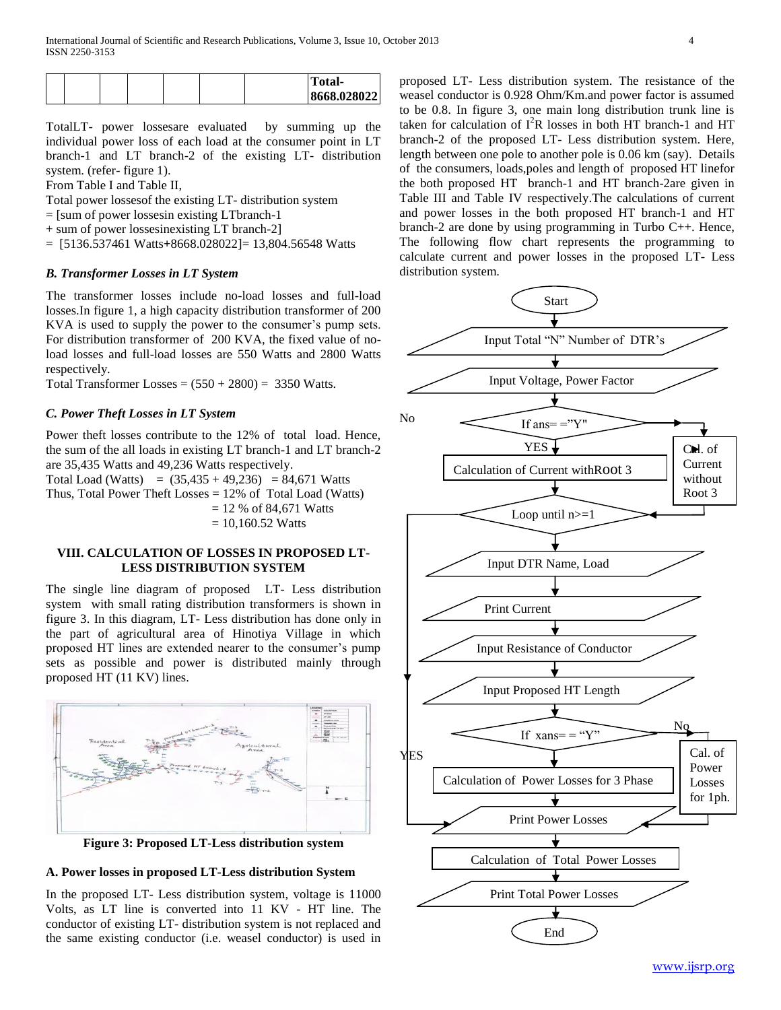|  |  |  | Total-      |
|--|--|--|-------------|
|  |  |  | 8668.028022 |

TotalLT- power lossesare evaluated by summing up the individual power loss of each load at the consumer point in LT branch-1 and LT branch-2 of the existing LT- distribution system. (refer- figure 1).

From Table I and Table II,

Total power lossesof the existing LT- distribution system

= [sum of power lossesin existing LTbranch-1

+ sum of power lossesinexisting LT branch-2]

= [5136.537461 Watts**+**8668.028022]= 13,804.56548 Watts

#### *B. Transformer Losses in LT System*

The transformer losses include no-load losses and full-load losses.In figure 1, a high capacity distribution transformer of 200 KVA is used to supply the power to the consumer's pump sets. For distribution transformer of 200 KVA, the fixed value of noload losses and full-load losses are 550 Watts and 2800 Watts respectively.

Total Transformer Losses =  $(550 + 2800) = 3350$  Watts.

#### *C. Power Theft Losses in LT System*

Power theft losses contribute to the 12% of total load. Hence, the sum of the all loads in existing LT branch-1 and LT branch-2 are 35,435 Watts and 49,236 Watts respectively.

Total Load (Watts) =  $(35,435 + 49,236)$  = 84,671 Watts Thus, Total Power Theft Losses = 12% of Total Load (Watts)  $= 12 % of 84,671 Watts$  $= 10,160.52$  Watts

#### **VIII. CALCULATION OF LOSSES IN PROPOSED LT-LESS DISTRIBUTION SYSTEM**

The single line diagram of proposed LT- Less distribution system with small rating distribution transformers is shown in figure 3. In this diagram, LT- Less distribution has done only in the part of agricultural area of Hinotiya Village in which proposed HT lines are extended nearer to the consumer's pump sets as possible and power is distributed mainly through proposed HT (11 KV) lines.



**Figure 3: Proposed LT-Less distribution system**

#### **A. Power losses in proposed LT-Less distribution System**

In the proposed LT- Less distribution system, voltage is 11000 Volts, as LT line is converted into 11 KV - HT line. The conductor of existing LT- distribution system is not replaced and the same existing conductor (i.e. weasel conductor) is used in proposed LT- Less distribution system. The resistance of the weasel conductor is 0.928 Ohm/Km.and power factor is assumed to be 0.8. In figure 3, one main long distribution trunk line is taken for calculation of  $I^2R$  losses in both HT branch-1 and HT branch-2 of the proposed LT- Less distribution system. Here, length between one pole to another pole is 0.06 km (say). Details of the consumers, loads,poles and length of proposed HT linefor the both proposed HT branch-1 and HT branch-2are given in Table III and Table IV respectively.The calculations of current and power losses in the both proposed HT branch-1 and HT branch-2 are done by using programming in Turbo C++. Hence, The following flow chart represents the programming to calculate current and power losses in the proposed LT- Less distribution system.

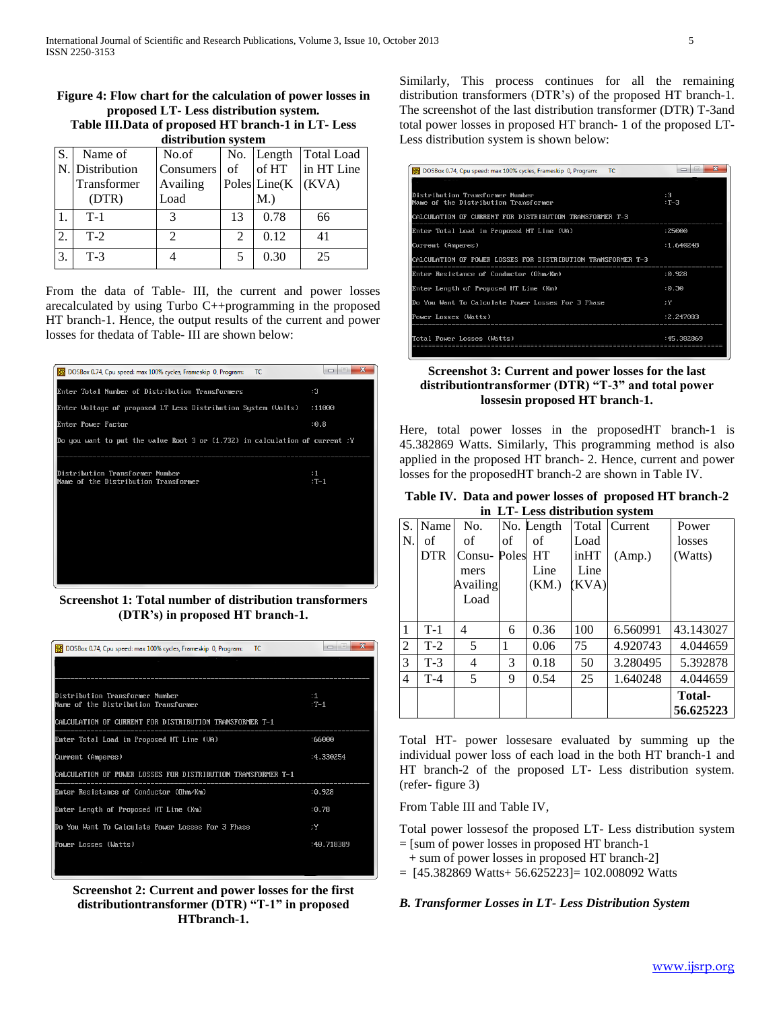## **Figure 4: Flow chart for the calculation of power losses in proposed LT- Less distribution system.**

**Table III.Data of proposed HT branch-1 in LT- Less distribution system**

|    | aran maman ayawm |                |                |                 |                   |  |  |  |
|----|------------------|----------------|----------------|-----------------|-------------------|--|--|--|
| S. | Name of          | No.of          |                | No. Length      | <b>Total Load</b> |  |  |  |
| N. | Distribution     | Consumers      | of             | of HT           | in HT Line        |  |  |  |
|    | Transformer      | Availing       |                | Poles $Line(K)$ | (KVA)             |  |  |  |
|    | (DTR)            | Load           |                | $M$ .)          |                   |  |  |  |
|    | $T-1$            | 3              | 13             | 0.78            | 66                |  |  |  |
| 2. | $T-2$            | $\mathfrak{D}$ | $\mathfrak{D}$ | 0.12            | 41                |  |  |  |
| 3. | $T-3$            |                |                | 0.30            | 25                |  |  |  |

From the data of Table- III, the current and power losses arecalculated by using Turbo C++programming in the proposed HT branch-1. Hence, the output results of the current and power losses for thedata of Table- III are shown below:



**Screenshot 1: Total number of distribution transformers (DTR's) in proposed HT branch-1.**

| DOSBox 0.74, Cpu speed: max 100% cycles, Frameskip 0, Program:<br>TC | Ж<br>ul più<br>- |
|----------------------------------------------------------------------|------------------|
|                                                                      |                  |
|                                                                      |                  |
| Distribution Transformer Number                                      | : 1              |
| Name of the Distribution Transformer                                 | $:T-1$           |
| CALCULATION OF CURRENT FOR DISTRIBUTION TRANSFORMER T-1              |                  |
| Enter Total Load in Proposed HT Line (UA)                            | :66000           |
| Current (Amperes)                                                    | :4.330254        |
| CALCULATION OF POWER LOSSES FOR DISTRIBUTION TRANSFORMER T-1         |                  |
| Enter Resistance of Conductor (Ohm∕Km)                               | : 0.928          |
| Enter Length of Proposed HT Line (Km)                                | :0.78            |
| Do You Want To Calculate Power Losses For 3 Phase                    | ۰۲               |
| Power Losses (Watts)                                                 | :40.718389       |
|                                                                      |                  |

**Screenshot 2: Current and power losses for the first distributiontransformer (DTR) "T-1" in proposed HTbranch-1.**

Similarly, This process continues for all the remaining distribution transformers (DTR's) of the proposed HT branch-1. The screenshot of the last distribution transformer (DTR) T-3and total power losses in proposed HT branch- 1 of the proposed LT-Less distribution system is shown below:

| DOSBox 0.74, Cpu speed: max 100% cycles, Frameskip 0, Program:<br><b>TC</b> | Ж<br>ulini  |
|-----------------------------------------------------------------------------|-------------|
|                                                                             |             |
| Distribution Transformer Number                                             | :3          |
| Name of the Distribution Transformer                                        | $:T-3$      |
| CALCULATION OF CURRENT FOR DISTRIBUTION TRANSFORMER T-3                     |             |
| Enter Total Load in Proposed HT Line (UA)                                   | :25000      |
| Current (Amperes)                                                           | : 1.640248  |
| CALCULATION OF POWER LOSSES FOR DISTRIBUTION TRANSFORMER T-3                |             |
| Enter Besistance of Conductor (Obm∕Km)                                      | : 0.928     |
| Enter Length of Proposed HT Line (Km)                                       | :0.30       |
| Do You Want To Calculate Power Losses For 3 Phase                           | : Y         |
| Power Losses (Watts)                                                        | :2.247033   |
| Total Power Losses (Watts)                                                  | : 45.382869 |

#### **Screenshot 3: Current and power losses for the last distributiontransformer (DTR) "T-3" and total power lossesin proposed HT branch-1.**

Here, total power losses in the proposedHT branch-1 is 45.382869 Watts. Similarly, This programming method is also applied in the proposed HT branch- 2. Hence, current and power losses for the proposedHT branch-2 are shown in Table IV.

**Table IV. Data and power losses of proposed HT branch-2 in LT- Less distribution system**

|    | III LI - LESS GISH IDUITON SYSTEM |          |       |            |       |          |               |  |
|----|-----------------------------------|----------|-------|------------|-------|----------|---------------|--|
| S. | Name                              | No.      |       | No. Length | Total | Current  | Power         |  |
| N. | of                                | of       | of    | of         | Load  |          | losses        |  |
|    | <b>DTR</b>                        | $Consu-$ | Poles | <b>HT</b>  | inHT  | (Amp.)   | (Watts)       |  |
|    |                                   | mers     |       | Line       | Line  |          |               |  |
|    |                                   | Availing |       | (KM.)      | (KVA) |          |               |  |
|    |                                   | Load     |       |            |       |          |               |  |
|    |                                   |          |       |            |       |          |               |  |
|    | $T-1$                             | 4        | 6     | 0.36       | 100   | 6.560991 | 43.143027     |  |
| 2  | $T-2$                             | 5        | 1     | 0.06       | 75    | 4.920743 | 4.044659      |  |
| 3  | $T-3$                             | 4        | 3     | 0.18       | 50    | 3.280495 | 5.392878      |  |
| 4  | $T-4$                             | 5        | 9     | 0.54       | 25    | 1.640248 | 4.044659      |  |
|    |                                   |          |       |            |       |          | <b>Total-</b> |  |
|    |                                   |          |       |            |       |          | 56.625223     |  |

Total HT- power lossesare evaluated by summing up the individual power loss of each load in the both HT branch-1 and HT branch-2 of the proposed LT- Less distribution system. (refer- figure 3)

From Table III and Table IV,

Total power lossesof the proposed LT- Less distribution system = [sum of power losses in proposed HT branch-1

- + sum of power losses in proposed HT branch-2]
- $= [45.382869 \text{ Watts} + 56.625223] = 102.008092 \text{ Watts}$

#### *B. Transformer Losses in LT- Less Distribution System*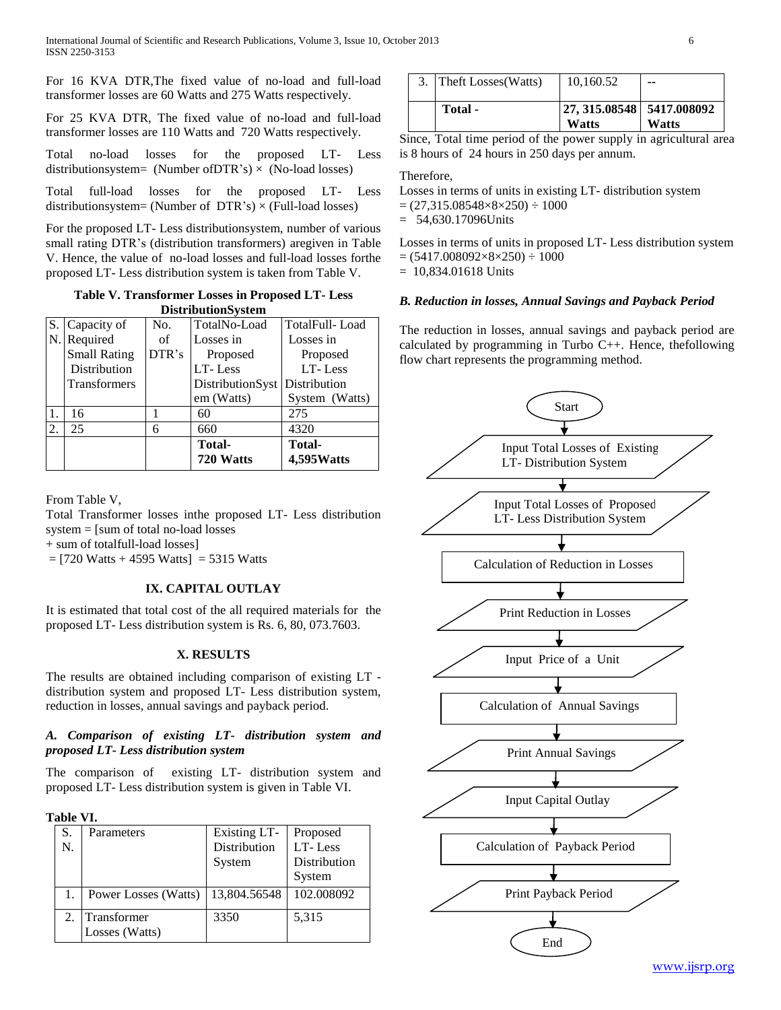For 16 KVA DTR,The fixed value of no-load and full-load transformer losses are 60 Watts and 275 Watts respectively.

For 25 KVA DTR, The fixed value of no-load and full-load transformer losses are 110 Watts and 720 Watts respectively.

Total no-load losses for the proposed LT- Less distributionsystem= (Number of DTR's)  $\times$  (No-load losses)

Total full-load losses for the proposed LT- Less distributionsystem= (Number of  $DTR's$ )  $\times$  (Full-load losses)

For the proposed LT- Less distributionsystem, number of various small rating DTR's (distribution transformers) aregiven in Table V. Hence, the value of no-load losses and full-load losses forthe proposed LT- Less distribution system is taken from Table V.

**Table V. Transformer Losses in Proposed LT- Less DistributionSystem**

|    | S. Capacity of      | No.   | TotalNo-Load                  | TotalFull-Load               |
|----|---------------------|-------|-------------------------------|------------------------------|
|    | N. Required         | of    | Losses in                     | Losses in                    |
|    | <b>Small Rating</b> | DTR's | Proposed                      | Proposed                     |
|    | Distribution        |       | LT-Less                       | LT-Less                      |
|    | <b>Transformers</b> |       | DistributionSyst Distribution |                              |
|    |                     |       | em (Watts)                    | System (Watts)               |
|    | 16                  |       | 60                            | 275                          |
| 2. | 25                  | 6     | 660                           | 4320                         |
|    |                     |       | <b>Total-</b><br>720 Watts    | <b>Total-</b><br>4,595 Watts |

From Table V,

Total Transformer losses inthe proposed LT- Less distribution system = [sum of total no-load losses

+ sum of totalfull-load losses]

 $=$  [720 Watts + 4595 Watts] = 5315 Watts

## **IX. CAPITAL OUTLAY**

It is estimated that total cost of the all required materials for the proposed LT- Less distribution system is Rs. 6, 80, 073.7603.

#### **X. RESULTS**

The results are obtained including comparison of existing LT distribution system and proposed LT- Less distribution system, reduction in losses, annual savings and payback period.

#### *A. Comparison of existing LT- distribution system and proposed LT- Less distribution system*

The comparison of existing LT- distribution system and proposed LT- Less distribution system is given in Table VI.

#### **Table VI.**

|    | Parameters                    | <b>Existing LT-</b> | Proposed     |
|----|-------------------------------|---------------------|--------------|
| N. |                               | Distribution        | LT-Less      |
|    |                               | System              | Distribution |
|    |                               |                     | System       |
|    | Power Losses (Watts)          | 13,804.56548        | 102.008092   |
|    | Transformer<br>Losses (Watts) | 3350                | 5,315        |

| 3. Theft Losses (Watts) | 10,160.52                                 | --           |
|-------------------------|-------------------------------------------|--------------|
| Total -                 | 27, 315,08548 5417,008092<br><b>Watts</b> | <b>Watts</b> |

Since, Total time period of the power supply in agricultural area is 8 hours of 24 hours in 250 days per annum.

#### Therefore,

Losses in terms of units in existing LT- distribution system

 $= (27,315.08548 \times 8 \times 250) \div 1000$ 

 $= 54,630,17096$ Units

Losses in terms of units in proposed LT- Less distribution system  $= (5417.008092\times8\times250) \div 1000$ 

 $= 10,834.01618$  Units

#### *B. Reduction in losses, Annual Savings and Payback Period*

The reduction in losses, annual savings and payback period are calculated by programming in Turbo C++. Hence, thefollowing flow chart represents the programming method.